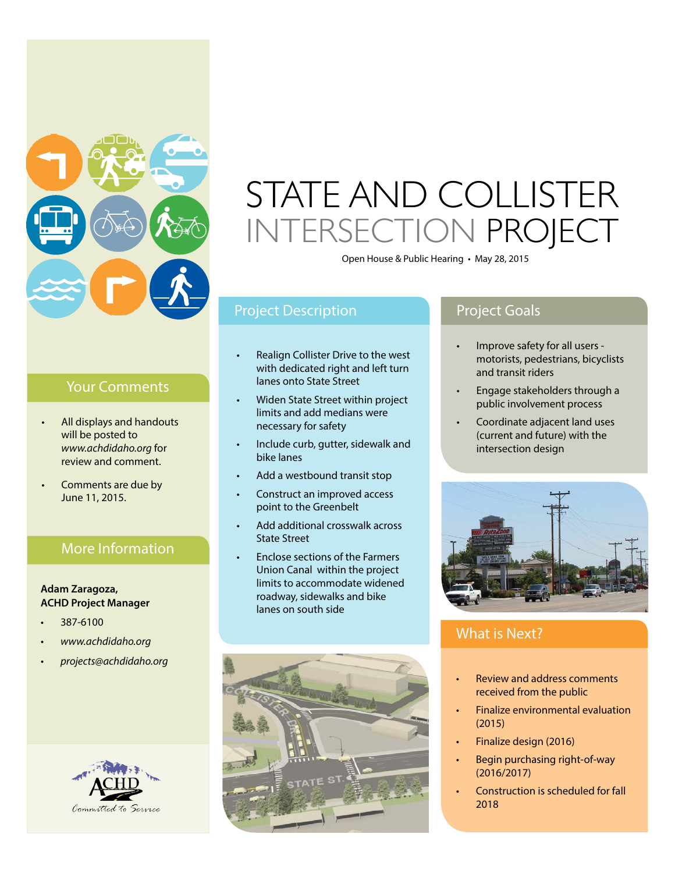

## Your Comments

- All displays and handouts will be posted to *www.achdidaho.org* for review and comment.
- Comments are due by June 11, 2015.

## More Information

### **Adam Zaragoza, ACHD Project Manager**

- 387-6100
- *• www.achdidaho.org*
- *• projects@achdidaho.org*



# STATE AND COLLISTER INTERSECTION PROJECT

Open House & Public Hearing . May 28, 2015

# Project Description **Project Goals**

- Realign Collister Drive to the west with dedicated right and left turn lanes onto State Street
- Widen State Street within project limits and add medians were necessary for safety
- Include curb, gutter, sidewalk and bike lanes
- Add a westbound transit stop
- Construct an improved access point to the Greenbelt
- Add additional crosswalk across State Street
- Enclose sections of the Farmers Union Canal within the project limits to accommodate widened roadway, sidewalks and bike lanes on south side



- Improve safety for all users motorists, pedestrians, bicyclists and transit riders
- Engage stakeholders through a public involvement process
- Coordinate adjacent land uses (current and future) with the intersection design



# What is Next?

- Review and address comments received from the public
- Finalize environmental evaluation (2015)
- Finalize design (2016)
- Begin purchasing right-of-way (2016/2017)
- Construction is scheduled for fall 2018